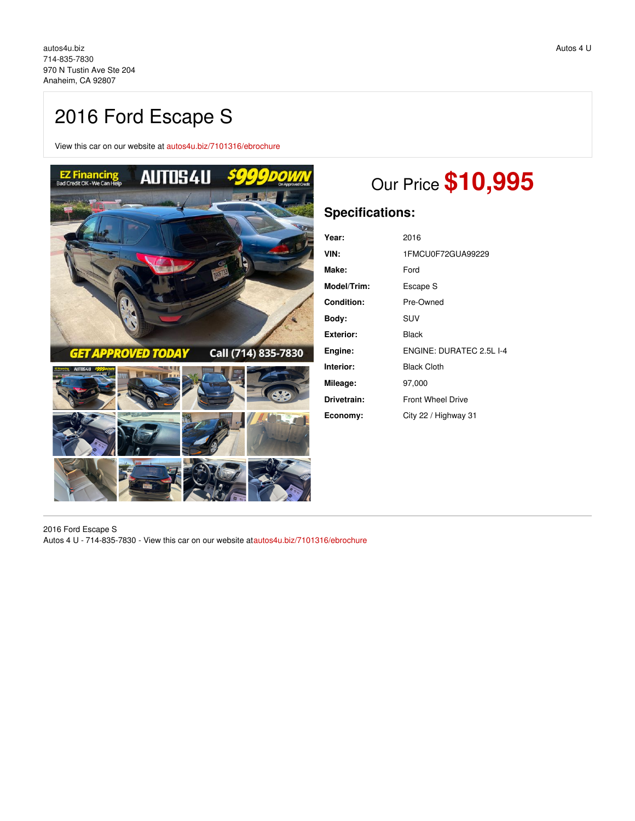# 2016 Ford Escape S

View this car on our website at [autos4u.biz/7101316/ebrochure](https://autos4u.biz/vehicle/7101316/2016-ford-escape-s-anaheim-ca-92807/7101316/ebrochure)



# Our Price **\$10,995**

# **Specifications:**

| Year:             | 2016                     |
|-------------------|--------------------------|
|                   |                          |
| VIN:              | 1FMCU0F72GUA99229        |
| Make:             | Ford                     |
| Model/Trim:       | Escape S                 |
| <b>Condition:</b> | Pre-Owned                |
| Bodv:             | <b>SUV</b>               |
| Exterior:         | Black                    |
| Engine:           | ENGINE: DURATEC 2.5L I-4 |
| Interior:         | <b>Black Cloth</b>       |
| Mileage:          | 97,000                   |
| Drivetrain:       | <b>Front Wheel Drive</b> |
| Economy:          | City 22 / Highway 31     |

2016 Ford Escape S Autos 4 U - 714-835-7830 - View this car on our website a[tautos4u.biz/7101316/ebrochure](https://autos4u.biz/vehicle/7101316/2016-ford-escape-s-anaheim-ca-92807/7101316/ebrochure)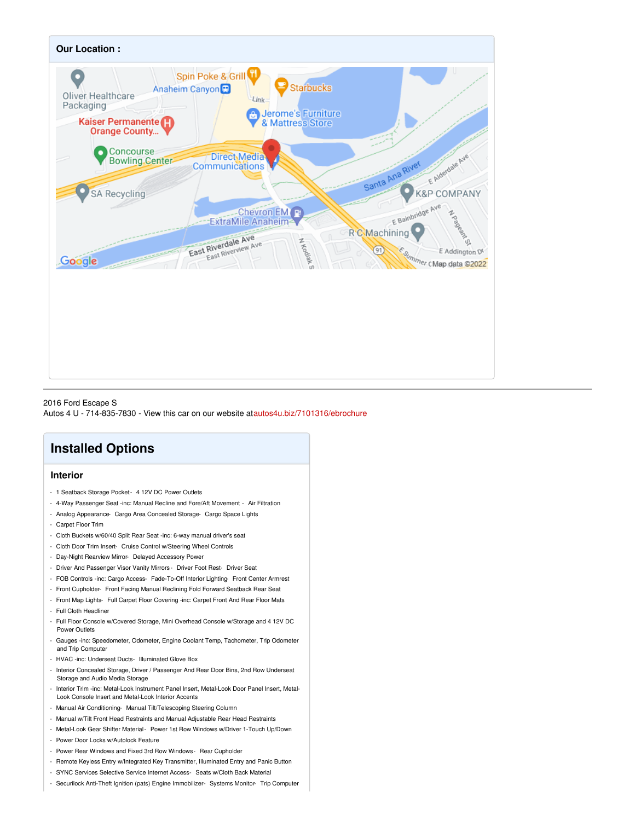

2016 Ford Escape S Autos 4 U - 714-835-7830 - View this car on our website a[tautos4u.biz/7101316/ebrochure](https://autos4u.biz/vehicle/7101316/2016-ford-escape-s-anaheim-ca-92807/7101316/ebrochure)

# **Installed Options**

### **Interior**

- 1 Seatback Storage Pocket- 4 12V DC Power Outlets
- 4-Way Passenger Seat -inc: Manual Recline and Fore/Aft Movement Air Filtration
- Analog Appearance- Cargo Area Concealed Storage- Cargo Space Lights
- Carpet Floor Trim
- Cloth Buckets w/60/40 Split Rear Seat -inc: 6-way manual driver's seat
- Cloth Door Trim Insert- Cruise Control w/Steering Wheel Controls
- Day-Night Rearview Mirror- Delayed Accessory Power
- Driver And Passenger Visor Vanity Mirrors Driver Foot Rest- Driver Seat
- FOB Controls -inc: Cargo Access- Fade-To-Off Interior Lighting- Front Center Armrest
- Front Cupholder- Front Facing Manual Reclining Fold Forward Seatback Rear Seat
- Front Map Lights- Full Carpet Floor Covering -inc: Carpet Front And Rear Floor Mats
- Full Cloth Headliner
- Full Floor Console w/Covered Storage, Mini Overhead Console w/Storage and 4 12V DC Power Outlets
- Gauges -inc: Speedometer, Odometer, Engine Coolant Temp, Tachometer, Trip Odometer and Trip Computer
- HVAC -inc: Underseat Ducts- Illuminated Glove Box
- Interior Concealed Storage, Driver / Passenger And Rear Door Bins, 2nd Row Underseat Storage and Audio Media Storage
- Interior Trim -inc: Metal-Look Instrument Panel Insert, Metal-Look Door Panel Insert, Metal-Look Console Insert and Metal-Look Interior Accents
- Manual Air Conditioning- Manual Tilt/Telescoping Steering Column
- Manual w/Tilt Front Head Restraints and Manual Adjustable Rear Head Restraints
- Metal-Look Gear Shifter Material- Power 1st Row Windows w/Driver 1-Touch Up/Down
- Power Door Locks w/Autolock Feature
- Power Rear Windows and Fixed 3rd Row Windows- Rear Cupholder
- Remote Keyless Entry w/Integrated Key Transmitter, Illuminated Entry and Panic Button
- SYNC Services Selective Service Internet Access- Seats w/Cloth Back Material
- Securilock Anti-Theft Ignition (pats) Engine Immobilizer- Systems Monitor- Trip Computer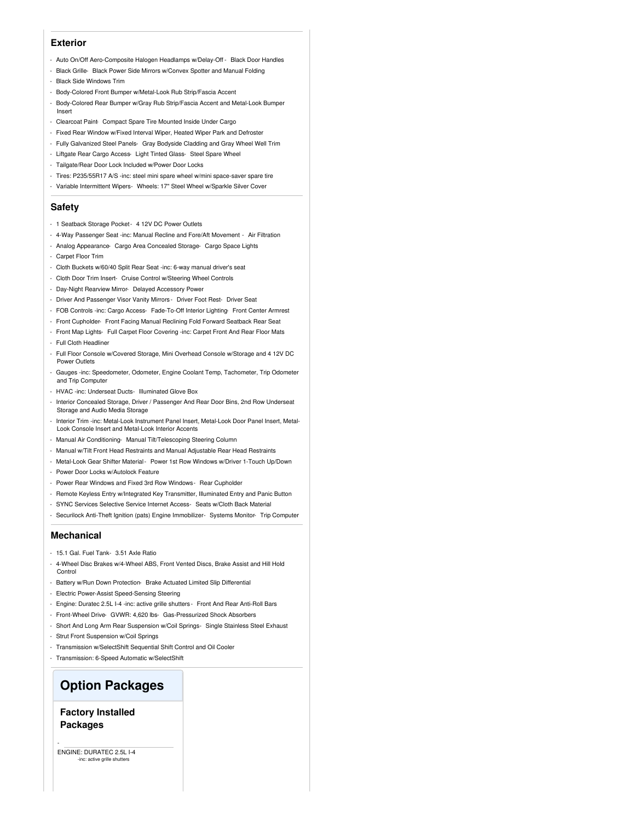#### **Exterior**

- Auto On/Off Aero-Composite Halogen Headlamps w/Delay-Off Black Door Handles
- Black Grille- Black Power Side Mirrors w/Convex Spotter and Manual Folding
- Black Side Windows Trim
- Body-Colored Front Bumper w/Metal-Look Rub Strip/Fascia Accent
- Body-Colored Rear Bumper w/Gray Rub Strip/Fascia Accent and Metal-Look Bumper Insert
- Clearcoat Paint- Compact Spare Tire Mounted Inside Under Cargo
- Fixed Rear Window w/Fixed Interval Wiper, Heated Wiper Park and Defroster
- Fully Galvanized Steel Panels- Gray Bodyside Cladding and Gray Wheel Well Trim
- Liftgate Rear Cargo Access- Light Tinted Glass- Steel Spare Wheel
- Tailgate/Rear Door Lock Included w/Power Door Locks
- Tires: P235/55R17 A/S -inc: steel mini spare wheel w/mini space-saver spare tire
- Variable Intermittent Wipers- Wheels: 17" Steel Wheel w/Sparkle Silver Cover

#### **Safety**

- 1 Seatback Storage Pocket- 4 12V DC Power Outlets
- 4-Way Passenger Seat -inc: Manual Recline and Fore/Aft Movement Air Filtration
- Analog Appearance- Cargo Area Concealed Storage- Cargo Space Lights
- Carpet Floor Trim
- Cloth Buckets w/60/40 Split Rear Seat -inc: 6-way manual driver's seat
- Cloth Door Trim Insert- Cruise Control w/Steering Wheel Controls
- Day-Night Rearview Mirror- Delayed Accessory Power
- Driver And Passenger Visor Vanity Mirrors Driver Foot Rest- Driver Seat
- FOB Controls -inc: Cargo Access- Fade-To-Off Interior Lighting- Front Center Armrest
- Front Cupholder- Front Facing Manual Reclining Fold Forward Seatback Rear Seat
- Front Map Lights- Full Carpet Floor Covering -inc: Carpet Front And Rear Floor Mats
- Full Cloth Headliner
- Full Floor Console w/Covered Storage, Mini Overhead Console w/Storage and 4 12V DC Power Outlets
- Gauges -inc: Speedometer, Odometer, Engine Coolant Temp, Tachometer, Trip Odometer and Trip Computer
- HVAC -inc: Underseat Ducts- Illuminated Glove Box
- Interior Concealed Storage, Driver / Passenger And Rear Door Bins, 2nd Row Underseat Storage and Audio Media Storage
- Interior Trim -inc: Metal-Look Instrument Panel Insert, Metal-Look Door Panel Insert, Metal-Look Console Insert and Metal-Look Interior Accents
- Manual Air Conditioning- Manual Tilt/Telescoping Steering Column
- Manual w/Tilt Front Head Restraints and Manual Adjustable Rear Head Restraints
- Metal-Look Gear Shifter Material- Power 1st Row Windows w/Driver 1-Touch Up/Down
- Power Door Locks w/Autolock Feature
- Power Rear Windows and Fixed 3rd Row Windows- Rear Cupholder
- Remote Keyless Entry w/Integrated Key Transmitter, Illuminated Entry and Panic Button
- SYNC Services Selective Service Internet Access- Seats w/Cloth Back Material
- Securilock Anti-Theft Ignition (pats) Engine Immobilizer- Systems Monitor- Trip Computer

#### **Mechanical**

- 15.1 Gal. Fuel Tank- 3.51 Axle Ratio
- 4-Wheel Disc Brakes w/4-Wheel ABS, Front Vented Discs, Brake Assist and Hill Hold Control
- Battery w/Run Down Protection- Brake Actuated Limited Slip Differential
- Electric Power-Assist Speed-Sensing Steering
- Engine: Duratec 2.5L I-4 -inc: active grille shutters Front And Rear Anti-Roll Bars
- Front-Wheel Drive- GVWR: 4,620 lbs- Gas-Pressurized Shock Absorbers
- Short And Long Arm Rear Suspension w/Coil Springs- Single Stainless Steel Exhaust
- Strut Front Suspension w/Coil Springs
- Transmission w/SelectShift Sequential Shift Control and Oil Cooler
- Transmission: 6-Speed Automatic w/SelectShift

## **Option Packages**

### **Factory Installed Packages**

ENGINE: DURATEC 2.5L I-4 nc: active grille shutt

-